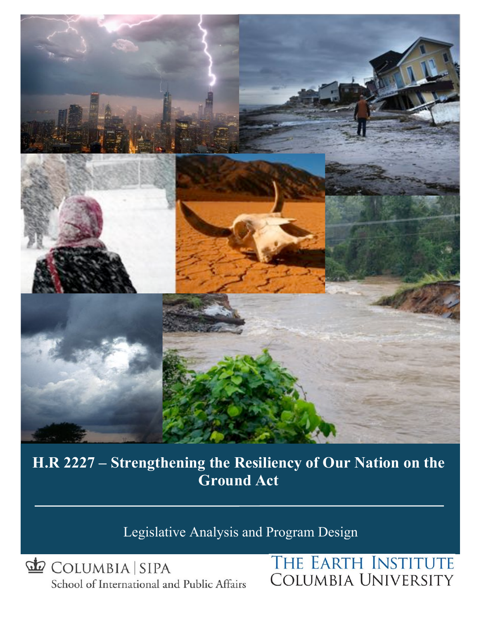

**H.R. 2227 – Strengthening the Resiliency of Our Nation on the Ground Act H.R 2227 – Strengthening the Resiliency of Our Nation on the Ground Act**

Legislative Analysis and Program Design

COLUMBIA SIPA School of International and Public Affairs

# THE EARTH INSTITUTE **COLUMBIA UNIVERSITY**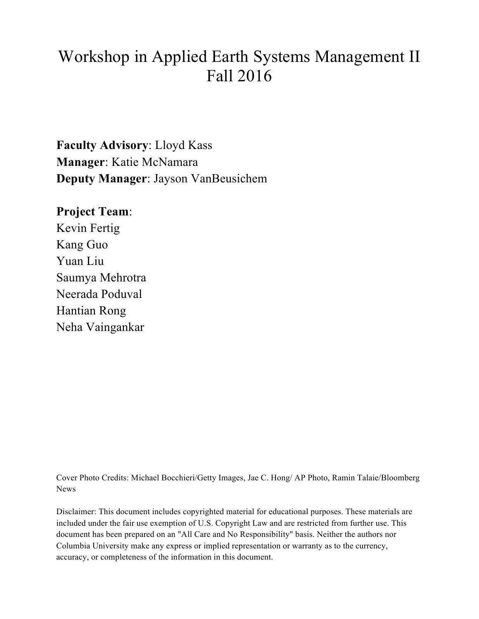# Workshop in Applied Earth Systems Management II Fall 2016

**Faculty Advisory**: Lloyd Kass **Manager**: Katie McNamara **Deputy Manager**: Jayson VanBeusichem

**Project Team**:

Kevin Fertig Kang Guo Yuan Liu Saumya Mehrotra Neerada Poduval Hantian Rong Neha Vaingankar

Cover Photo Credits: Michael Bocchieri/Getty Images, Jae C. Hong/ AP Photo, Ramin Talaie/Bloomberg News

Disclaimer: This document includes copyrighted material for educational purposes. These materials are included under the fair use exemption of U.S. Copyright Law and are restricted from further use. This document has been prepared on an "All Care and No Responsibility" basis. Neither the authors nor Columbia University make any express or implied representation or warranty as to the currency, accuracy, or completeness of the information in this document.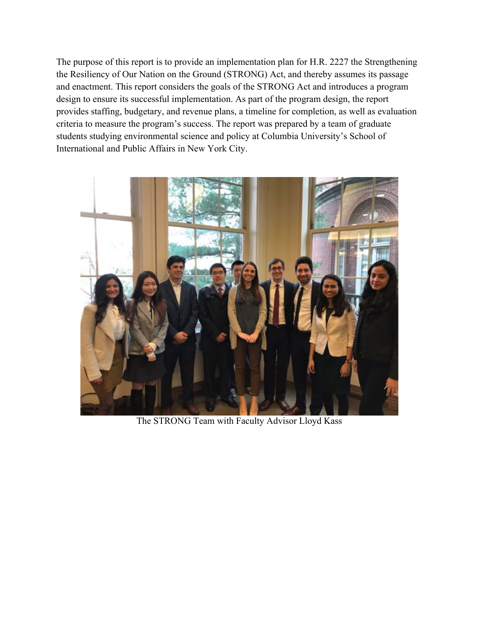The purpose of this report is to provide an implementation plan for H.R. 2227 the Strengthening the Resiliency of Our Nation on the Ground (STRONG) Act, and thereby assumes its passage and enactment. This report considers the goals of the STRONG Act and introduces a program design to ensure its successful implementation. As part of the program design, the report provides staffing, budgetary, and revenue plans, a timeline for completion, as well as evaluation criteria to measure the program's success. The report was prepared by a team of graduate students studying environmental science and policy at Columbia University's School of International and Public Affairs in New York City.



The STRONG Team with Faculty Advisor Lloyd Kass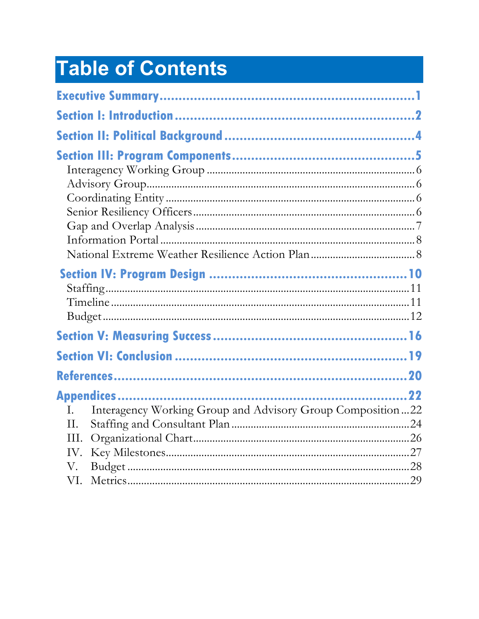# Table of Contents

| I.   | Interagency Working Group and Advisory Group Composition22 |  |
|------|------------------------------------------------------------|--|
| II.  |                                                            |  |
| III. |                                                            |  |
| IV.  |                                                            |  |
| V.   |                                                            |  |
| VI.  |                                                            |  |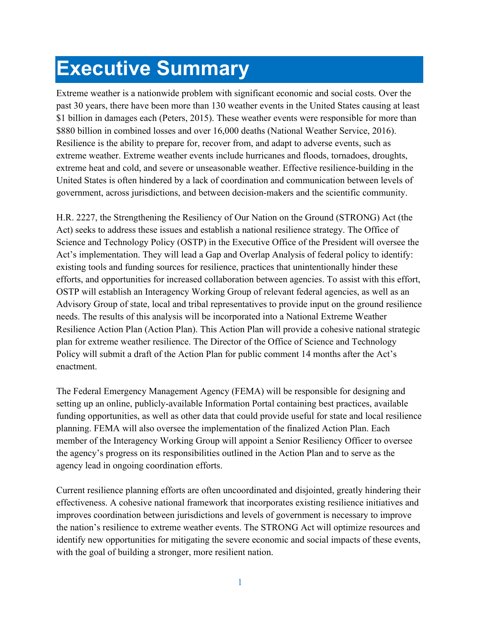# **Executive Summary**

Extreme weather is a nationwide problem with significant economic and social costs. Over the past 30 years, there have been more than 130 weather events in the United States causing at least \$1 billion in damages each (Peters, 2015). These weather events were responsible for more than \$880 billion in combined losses and over 16,000 deaths (National Weather Service, 2016). Resilience is the ability to prepare for, recover from, and adapt to adverse events, such as extreme weather. Extreme weather events include hurricanes and floods, tornadoes, droughts, extreme heat and cold, and severe or unseasonable weather. Effective resilience-building in the United States is often hindered by a lack of coordination and communication between levels of government, across jurisdictions, and between decision-makers and the scientific community.

H.R. 2227, the Strengthening the Resiliency of Our Nation on the Ground (STRONG) Act (the Act) seeks to address these issues and establish a national resilience strategy. The Office of Science and Technology Policy (OSTP) in the Executive Office of the President will oversee the Act's implementation. They will lead a Gap and Overlap Analysis of federal policy to identify: existing tools and funding sources for resilience, practices that unintentionally hinder these efforts, and opportunities for increased collaboration between agencies. To assist with this effort, OSTP will establish an Interagency Working Group of relevant federal agencies, as well as an Advisory Group of state, local and tribal representatives to provide input on the ground resilience needs. The results of this analysis will be incorporated into a National Extreme Weather Resilience Action Plan (Action Plan). This Action Plan will provide a cohesive national strategic plan for extreme weather resilience. The Director of the Office of Science and Technology Policy will submit a draft of the Action Plan for public comment 14 months after the Act's enactment.

The Federal Emergency Management Agency (FEMA) will be responsible for designing and setting up an online, publicly-available Information Portal containing best practices, available funding opportunities, as well as other data that could provide useful for state and local resilience planning. FEMA will also oversee the implementation of the finalized Action Plan. Each member of the Interagency Working Group will appoint a Senior Resiliency Officer to oversee the agency's progress on its responsibilities outlined in the Action Plan and to serve as the agency lead in ongoing coordination efforts.

Current resilience planning efforts are often uncoordinated and disjointed, greatly hindering their effectiveness. A cohesive national framework that incorporates existing resilience initiatives and improves coordination between jurisdictions and levels of government is necessary to improve the nation's resilience to extreme weather events. The STRONG Act will optimize resources and identify new opportunities for mitigating the severe economic and social impacts of these events, with the goal of building a stronger, more resilient nation.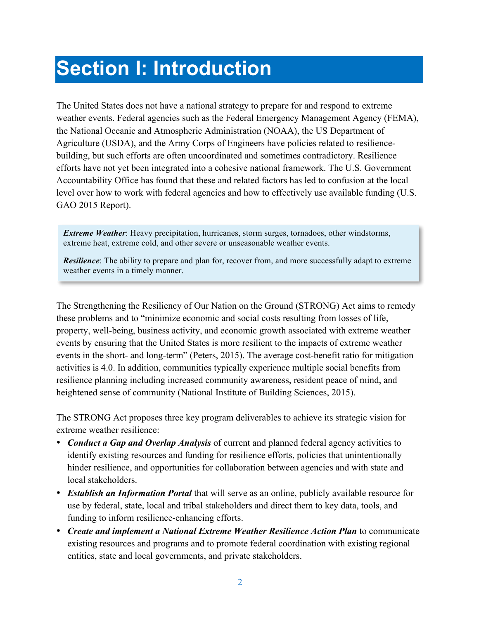# **Section I: Introduction**

The United States does not have a national strategy to prepare for and respond to extreme weather events. Federal agencies such as the Federal Emergency Management Agency (FEMA), the National Oceanic and Atmospheric Administration (NOAA), the US Department of Agriculture (USDA), and the Army Corps of Engineers have policies related to resiliencebuilding, but such efforts are often uncoordinated and sometimes contradictory. Resilience efforts have not yet been integrated into a cohesive national framework. The U.S. Government Accountability Office has found that these and related factors has led to confusion at the local level over how to work with federal agencies and how to effectively use available funding (U.S. GAO 2015 Report).

*Extreme Weather*: Heavy precipitation, hurricanes, storm surges, tornadoes, other windstorms, extreme heat, extreme cold, and other severe or unseasonable weather events.

*Resilience*: The ability to prepare and plan for, recover from, and more successfully adapt to extreme weather events in a timely manner.

The Strengthening the Resiliency of Our Nation on the Ground (STRONG) Act aims to remedy these problems and to "minimize economic and social costs resulting from losses of life, property, well-being, business activity, and economic growth associated with extreme weather events by ensuring that the United States is more resilient to the impacts of extreme weather events in the short- and long-term" (Peters, 2015). The average cost-benefit ratio for mitigation activities is 4.0. In addition, communities typically experience multiple social benefits from resilience planning including increased community awareness, resident peace of mind, and heightened sense of community (National Institute of Building Sciences, 2015).

The STRONG Act proposes three key program deliverables to achieve its strategic vision for extreme weather resilience:

- *Conduct a Gap and Overlap Analysis* of current and planned federal agency activities to identify existing resources and funding for resilience efforts, policies that unintentionally hinder resilience, and opportunities for collaboration between agencies and with state and local stakeholders.
- *Establish an Information Portal* that will serve as an online, publicly available resource for use by federal, state, local and tribal stakeholders and direct them to key data, tools, and funding to inform resilience-enhancing efforts.
- *Create and implement a National Extreme Weather Resilience Action Plan* to communicate existing resources and programs and to promote federal coordination with existing regional entities, state and local governments, and private stakeholders.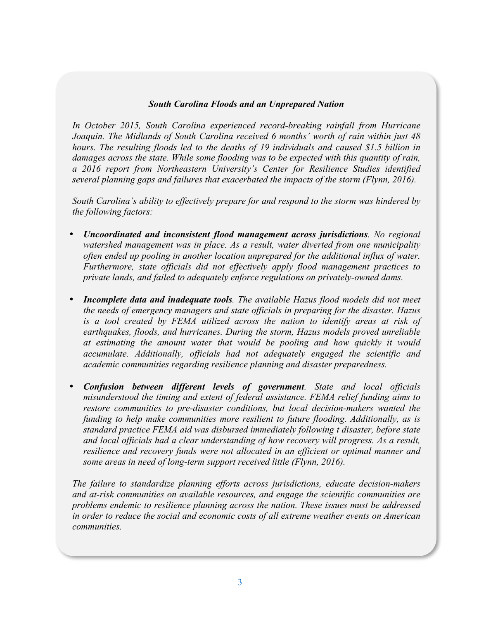#### *South Carolina Floods and an Unprepared Nation*

*In October 2015, South Carolina experienced record-breaking rainfall from Hurricane Joaquin. The Midlands of South Carolina received 6 months' worth of rain within just 48 hours. The resulting floods led to the deaths of 19 individuals and caused \$1.5 billion in damages across the state. While some flooding was to be expected with this quantity of rain, a 2016 report from Northeastern University's Center for Resilience Studies identified several planning gaps and failures that exacerbated the impacts of the storm (Flynn, 2016).* 

*South Carolina's ability to effectively prepare for and respond to the storm was hindered by the following factors:*

- *Uncoordinated and inconsistent flood management across jurisdictions. No regional watershed management was in place. As a result, water diverted from one municipality often ended up pooling in another location unprepared for the additional influx of water. Furthermore, state officials did not effectively apply flood management practices to private lands, and failed to adequately enforce regulations on privately-owned dams.*
- *Incomplete data and inadequate tools. The available Hazus flood models did not meet the needs of emergency managers and state officials in preparing for the disaster. Hazus is a tool created by FEMA utilized across the nation to identify areas at risk of earthquakes, floods, and hurricanes. During the storm, Hazus models proved unreliable at estimating the amount water that would be pooling and how quickly it would accumulate. Additionally, officials had not adequately engaged the scientific and academic communities regarding resilience planning and disaster preparedness.*
- *Confusion between different levels of government. State and local officials misunderstood the timing and extent of federal assistance. FEMA relief funding aims to restore communities to pre-disaster conditions, but local decision-makers wanted the funding to help make communities more resilient to future flooding. Additionally, as is standard practice FEMA aid was disbursed immediately following t disaster, before state and local officials had a clear understanding of how recovery will progress. As a result, resilience and recovery funds were not allocated in an efficient or optimal manner and some areas in need of long-term support received little (Flynn, 2016).*

*The failure to standardize planning efforts across jurisdictions, educate decision-makers and at-risk communities on available resources, and engage the scientific communities are problems endemic to resilience planning across the nation. These issues must be addressed in order to reduce the social and economic costs of all extreme weather events on American communities.*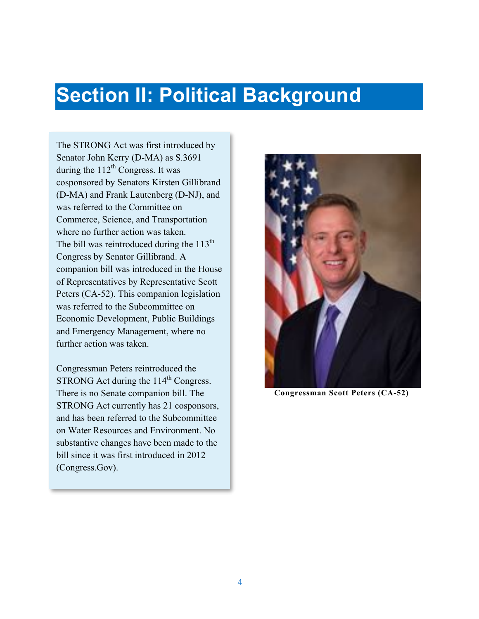# **Section II: Political Background**

The STRONG Act was first introduced by Senator John Kerry (D-MA) as S.3691 during the  $112<sup>th</sup>$  Congress. It was cosponsored by Senators Kirsten Gillibrand (D-MA) and Frank Lautenberg (D-NJ), and was referred to the Committee on Commerce, Science, and Transportation where no further action was taken. The bill was reintroduced during the  $113<sup>th</sup>$ Congress by Senator Gillibrand. A companion bill was introduced in the House of Representatives by Representative Scott Peters (CA-52). This companion legislation was referred to the Subcommittee on Economic Development, Public Buildings and Emergency Management, where no further action was taken.

Congressman Peters reintroduced the STRONG Act during the  $114<sup>th</sup>$  Congress. There is no Senate companion bill. The STRONG Act currently has 21 cosponsors, and has been referred to the Subcommittee on Water Resources and Environment. No substantive changes have been made to the bill since it was first introduced in 2012 (Congress.Gov).



**Congressman Scott Peters (CA-52)**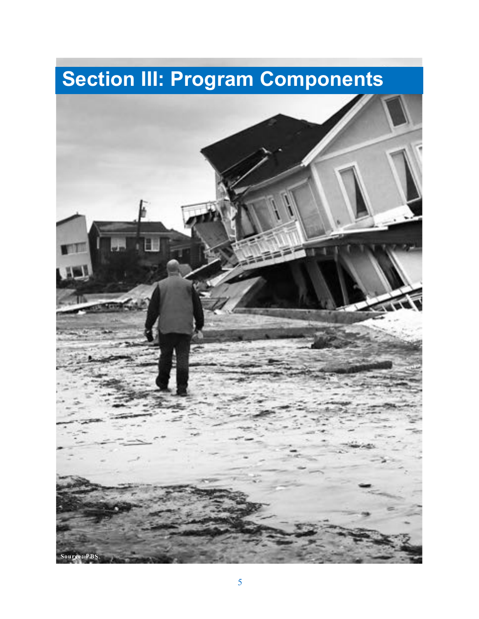# **Section III: Program Components**

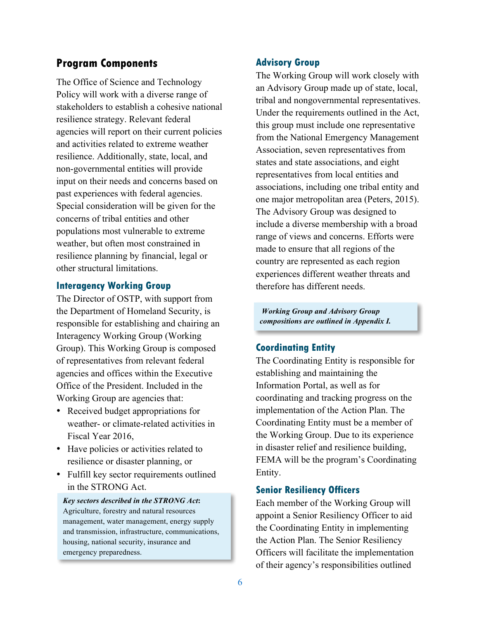## **Program Components**

The Office of Science and Technology Policy will work with a diverse range of stakeholders to establish a cohesive national resilience strategy. Relevant federal agencies will report on their current policies and activities related to extreme weather resilience. Additionally, state, local, and non-governmental entities will provide input on their needs and concerns based on past experiences with federal agencies. Special consideration will be given for the concerns of tribal entities and other populations most vulnerable to extreme weather, but often most constrained in resilience planning by financial, legal or other structural limitations.

#### **Interagency Working Group**

The Director of OSTP, with support from the Department of Homeland Security, is responsible for establishing and chairing an Interagency Working Group (Working Group). This Working Group is composed of representatives from relevant federal agencies and offices within the Executive Office of the President. Included in the Working Group are agencies that:

- Received budget appropriations for weather- or climate-related activities in Fiscal Year 2016,
- Have policies or activities related to resilience or disaster planning, or
- Fulfill key sector requirements outlined in the STRONG Act.

*Key sectors described in the STRONG Act***:**  Agriculture, forestry and natural resources management, water management, energy supply and transmission, infrastructure, communications, housing, national security, insurance and emergency preparedness.

#### **Advisory Group**

The Working Group will work closely with an Advisory Group made up of state, local, tribal and nongovernmental representatives. Under the requirements outlined in the Act, this group must include one representative from the National Emergency Management Association, seven representatives from states and state associations, and eight representatives from local entities and associations, including one tribal entity and one major metropolitan area (Peters, 2015). The Advisory Group was designed to include a diverse membership with a broad range of views and concerns. Efforts were made to ensure that all regions of the country are represented as each region experiences different weather threats and therefore has different needs.

*Working Group and Advisory Group compositions are outlined in Appendix I.*

#### **Coordinating Entity**

The Coordinating Entity is responsible for establishing and maintaining the Information Portal, as well as for coordinating and tracking progress on the implementation of the Action Plan. The Coordinating Entity must be a member of the Working Group. Due to its experience in disaster relief and resilience building, FEMA will be the program's Coordinating Entity.

#### **Senior Resiliency Officers**

Each member of the Working Group will appoint a Senior Resiliency Officer to aid the Coordinating Entity in implementing the Action Plan. The Senior Resiliency Officers will facilitate the implementation of their agency's responsibilities outlined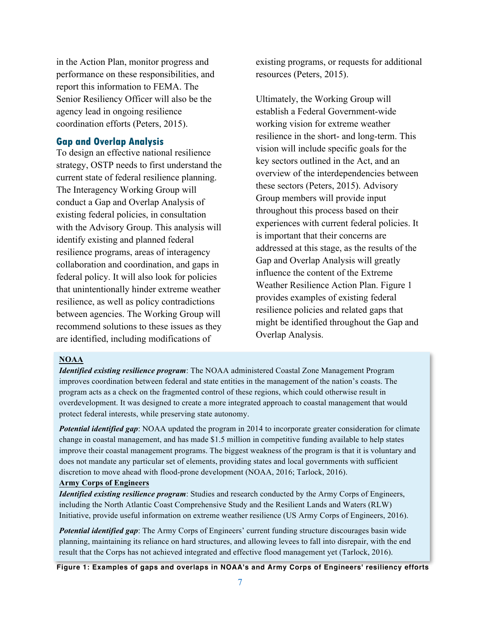in the Action Plan, monitor progress and performance on these responsibilities, and report this information to FEMA. The Senior Resiliency Officer will also be the agency lead in ongoing resilience coordination efforts (Peters, 2015).

#### **Gap and Overlap Analysis**

To design an effective national resilience strategy, OSTP needs to first understand the current state of federal resilience planning. The Interagency Working Group will conduct a Gap and Overlap Analysis of existing federal policies, in consultation with the Advisory Group. This analysis will identify existing and planned federal resilience programs, areas of interagency collaboration and coordination, and gaps in federal policy. It will also look for policies that unintentionally hinder extreme weather resilience, as well as policy contradictions between agencies. The Working Group will recommend solutions to these issues as they are identified, including modifications of

existing programs, or requests for additional resources (Peters, 2015).

Ultimately, the Working Group will establish a Federal Government-wide working vision for extreme weather resilience in the short- and long-term. This vision will include specific goals for the key sectors outlined in the Act, and an overview of the interdependencies between these sectors (Peters, 2015). Advisory Group members will provide input throughout this process based on their experiences with current federal policies. It is important that their concerns are addressed at this stage, as the results of the Gap and Overlap Analysis will greatly influence the content of the Extreme Weather Resilience Action Plan. Figure 1 provides examples of existing federal resilience policies and related gaps that might be identified throughout the Gap and Overlap Analysis.

#### **NOAA**

*Identified existing resilience program*: The NOAA administered Coastal Zone Management Program improves coordination between federal and state entities in the management of the nation's coasts. The program acts as a check on the fragmented control of these regions, which could otherwise result in overdevelopment. It was designed to create a more integrated approach to coastal management that would protect federal interests, while preserving state autonomy.

*Potential identified gap*: NOAA updated the program in 2014 to incorporate greater consideration for climate change in coastal management, and has made \$1.5 million in competitive funding available to help states improve their coastal management programs. The biggest weakness of the program is that it is voluntary and does not mandate any particular set of elements, providing states and local governments with sufficient discretion to move ahead with flood-prone development (NOAA, 2016; Tarlock, 2016).

#### **Army Corps of Engineers**

*Identified existing resilience program*: Studies and research conducted by the Army Corps of Engineers, including the North Atlantic Coast Comprehensive Study and the Resilient Lands and Waters (RLW) Initiative, provide useful information on extreme weather resilience (US Army Corps of Engineers, 2016).

*Potential identified gap*: The Army Corps of Engineers' current funding structure discourages basin wide planning, maintaining its reliance on hard structures, and allowing levees to fall into disrepair, with the end result that the Corps has not achieved integrated and effective flood management yet (Tarlock, 2016).

**Figure 1: Examples of gaps and overlaps in NOAA's and Army Corps of Engineers' resiliency efforts**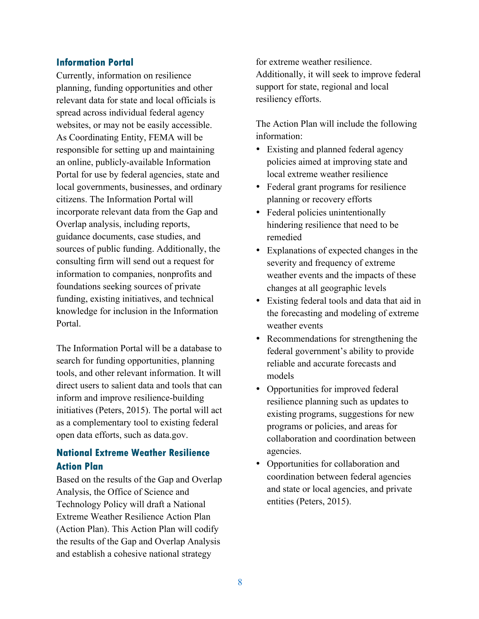#### **Information Portal**

Currently, information on resilience planning, funding opportunities and other relevant data for state and local officials is spread across individual federal agency websites, or may not be easily accessible. As Coordinating Entity, FEMA will be responsible for setting up and maintaining an online, publicly-available Information Portal for use by federal agencies, state and local governments, businesses, and ordinary citizens. The Information Portal will incorporate relevant data from the Gap and Overlap analysis, including reports, guidance documents, case studies, and sources of public funding. Additionally, the consulting firm will send out a request for information to companies, nonprofits and foundations seeking sources of private funding, existing initiatives, and technical knowledge for inclusion in the Information Portal.

The Information Portal will be a database to search for funding opportunities, planning tools, and other relevant information. It will direct users to salient data and tools that can inform and improve resilience-building initiatives (Peters, 2015). The portal will act as a complementary tool to existing federal open data efforts, such as data.gov.

## **National Extreme Weather Resilience Action Plan**

Based on the results of the Gap and Overlap Analysis, the Office of Science and Technology Policy will draft a National Extreme Weather Resilience Action Plan (Action Plan). This Action Plan will codify the results of the Gap and Overlap Analysis and establish a cohesive national strategy

for extreme weather resilience. Additionally, it will seek to improve federal support for state, regional and local resiliency efforts.

The Action Plan will include the following information:

- Existing and planned federal agency policies aimed at improving state and local extreme weather resilience
- Federal grant programs for resilience planning or recovery efforts
- Federal policies unintentionally hindering resilience that need to be remedied
- Explanations of expected changes in the severity and frequency of extreme weather events and the impacts of these changes at all geographic levels
- Existing federal tools and data that aid in the forecasting and modeling of extreme weather events
- Recommendations for strengthening the federal government's ability to provide reliable and accurate forecasts and models
- Opportunities for improved federal resilience planning such as updates to existing programs, suggestions for new programs or policies, and areas for collaboration and coordination between agencies.
- Opportunities for collaboration and coordination between federal agencies and state or local agencies, and private entities (Peters, 2015).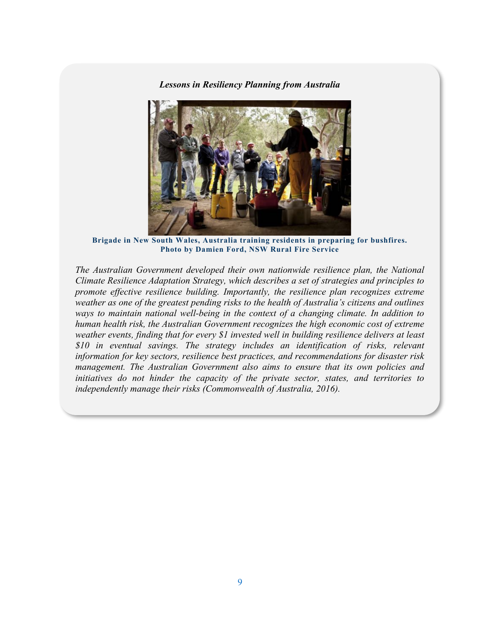*Lessons in Resiliency Planning from Australia*



**Brigade in New South Wales, Australia training residents in preparing for bushfires. Photo by Damien Ford, NSW Rural Fire Service**

*The Australian Government developed their own nationwide resilience plan, the National Climate Resilience Adaptation Strategy, which describes a set of strategies and principles to promote effective resilience building. Importantly, the resilience plan recognizes extreme weather as one of the greatest pending risks to the health of Australia's citizens and outlines ways to maintain national well-being in the context of a changing climate. In addition to human health risk, the Australian Government recognizes the high economic cost of extreme weather events, finding that for every \$1 invested well in building resilience delivers at least \$10 in eventual savings. The strategy includes an identification of risks, relevant information for key sectors, resilience best practices, and recommendations for disaster risk management. The Australian Government also aims to ensure that its own policies and initiatives do not hinder the capacity of the private sector, states, and territories to independently manage their risks (Commonwealth of Australia, 2016).*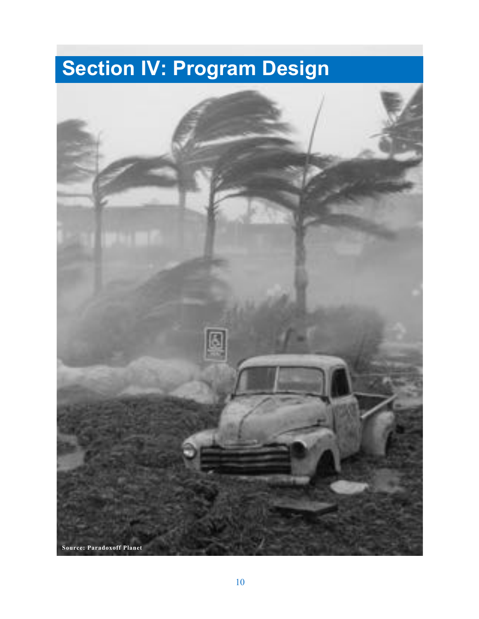# **Section IV: Program Design**

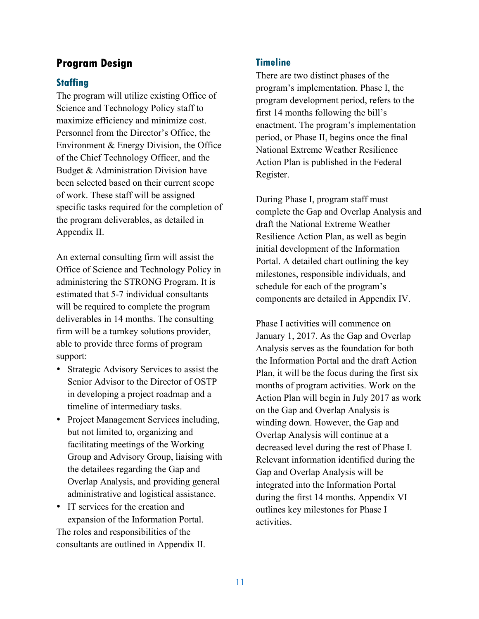## **Program Design**

### **Staffing**

The program will utilize existing Office of Science and Technology Policy staff to maximize efficiency and minimize cost. Personnel from the Director's Office, the Environment & Energy Division, the Office of the Chief Technology Officer, and the Budget & Administration Division have been selected based on their current scope of work. These staff will be assigned specific tasks required for the completion of the program deliverables, as detailed in Appendix II.

An external consulting firm will assist the Office of Science and Technology Policy in administering the STRONG Program. It is estimated that 5-7 individual consultants will be required to complete the program deliverables in 14 months. The consulting firm will be a turnkey solutions provider, able to provide three forms of program support:

- Strategic Advisory Services to assist the Senior Advisor to the Director of OSTP in developing a project roadmap and a timeline of intermediary tasks.
- Project Management Services including, but not limited to, organizing and facilitating meetings of the Working Group and Advisory Group, liaising with the detailees regarding the Gap and Overlap Analysis, and providing general administrative and logistical assistance.
- IT services for the creation and expansion of the Information Portal. The roles and responsibilities of the consultants are outlined in Appendix II.

## **Timeline**

There are two distinct phases of the program's implementation. Phase I, the program development period, refers to the first 14 months following the bill's enactment. The program's implementation period, or Phase II, begins once the final National Extreme Weather Resilience Action Plan is published in the Federal Register.

During Phase I, program staff must complete the Gap and Overlap Analysis and draft the National Extreme Weather Resilience Action Plan, as well as begin initial development of the Information Portal. A detailed chart outlining the key milestones, responsible individuals, and schedule for each of the program's components are detailed in Appendix IV.

Phase I activities will commence on January 1, 2017. As the Gap and Overlap Analysis serves as the foundation for both the Information Portal and the draft Action Plan, it will be the focus during the first six months of program activities. Work on the Action Plan will begin in July 2017 as work on the Gap and Overlap Analysis is winding down. However, the Gap and Overlap Analysis will continue at a decreased level during the rest of Phase I. Relevant information identified during the Gap and Overlap Analysis will be integrated into the Information Portal during the first 14 months. Appendix VI outlines key milestones for Phase I activities.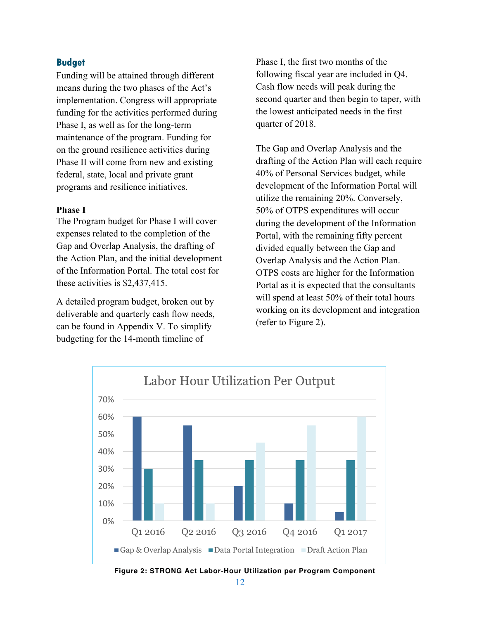#### **Budget**

Funding will be attained through different means during the two phases of the Act's implementation. Congress will appropriate funding for the activities performed during Phase I, as well as for the long-term maintenance of the program. Funding for on the ground resilience activities during Phase II will come from new and existing federal, state, local and private grant programs and resilience initiatives.

#### **Phase I**

The Program budget for Phase I will cover expenses related to the completion of the Gap and Overlap Analysis, the drafting of the Action Plan, and the initial development of the Information Portal. The total cost for these activities is \$2,437,415.

A detailed program budget, broken out by deliverable and quarterly cash flow needs, can be found in Appendix V. To simplify budgeting for the 14-month timeline of

Phase I, the first two months of the following fiscal year are included in Q4. Cash flow needs will peak during the second quarter and then begin to taper, with the lowest anticipated needs in the first quarter of 2018.

The Gap and Overlap Analysis and the drafting of the Action Plan will each require 40% of Personal Services budget, while development of the Information Portal will utilize the remaining 20%. Conversely, 50% of OTPS expenditures will occur during the development of the Information Portal, with the remaining fifty percent divided equally between the Gap and Overlap Analysis and the Action Plan. OTPS costs are higher for the Information Portal as it is expected that the consultants will spend at least 50% of their total hours working on its development and integration (refer to Figure 2).



**Figure 2: STRONG Act Labor-Hour Utilization per Program Component**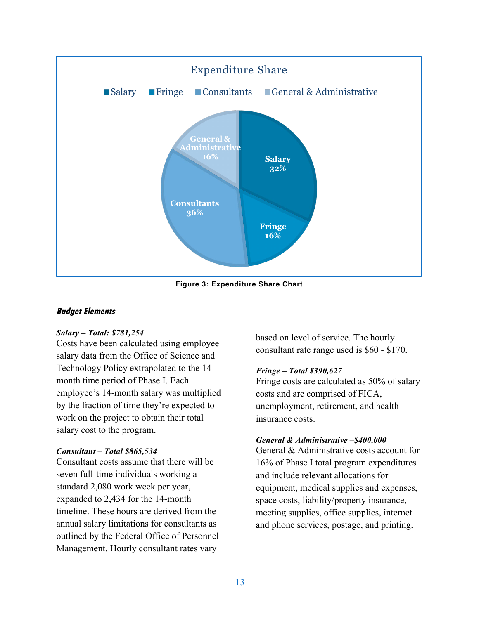

**Figure 3: Expenditure Share Chart**

#### **Budget Elements**

#### *Salary – Total: \$781,254*

Costs have been calculated using employee salary data from the Office of Science and Technology Policy extrapolated to the 14 month time period of Phase I. Each employee's 14-month salary was multiplied by the fraction of time they're expected to work on the project to obtain their total salary cost to the program.

#### *Consultant – Total \$865,534*

Consultant costs assume that there will be seven full-time individuals working a standard 2,080 work week per year, expanded to 2,434 for the 14-month timeline. These hours are derived from the annual salary limitations for consultants as outlined by the Federal Office of Personnel Management. Hourly consultant rates vary

based on level of service. The hourly consultant rate range used is \$60 - \$170.

#### *Fringe – Total \$390,627*

Fringe costs are calculated as 50% of salary costs and are comprised of FICA, unemployment, retirement, and health insurance costs.

#### *General & Administrative –\$400,000*

General & Administrative costs account for 16% of Phase I total program expenditures and include relevant allocations for equipment, medical supplies and expenses, space costs, liability/property insurance, meeting supplies, office supplies, internet and phone services, postage, and printing.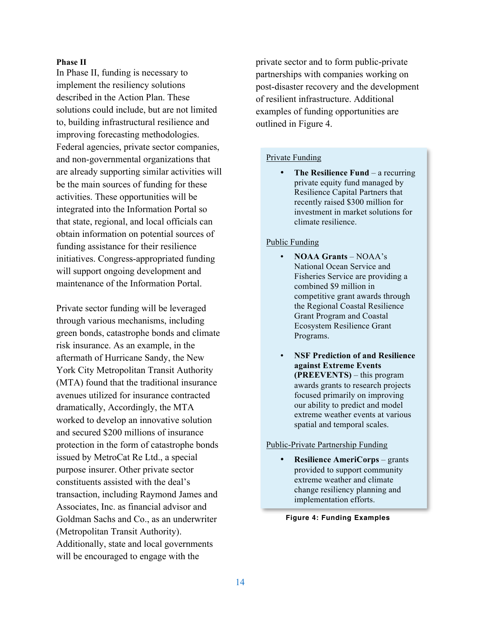#### **Phase II**

In Phase II, funding is necessary to implement the resiliency solutions described in the Action Plan. These solutions could include, but are not limited to, building infrastructural resilience and improving forecasting methodologies. Federal agencies, private sector companies, and non-governmental organizations that are already supporting similar activities will be the main sources of funding for these activities. These opportunities will be integrated into the Information Portal so that state, regional, and local officials can obtain information on potential sources of funding assistance for their resilience initiatives. Congress-appropriated funding will support ongoing development and maintenance of the Information Portal.

Private sector funding will be leveraged through various mechanisms, including green bonds, catastrophe bonds and climate risk insurance. As an example, in the aftermath of Hurricane Sandy, the New York City Metropolitan Transit Authority (MTA) found that the traditional insurance avenues utilized for insurance contracted dramatically, Accordingly, the MTA worked to develop an innovative solution and secured \$200 millions of insurance protection in the form of catastrophe bonds issued by MetroCat Re Ltd., a special purpose insurer. Other private sector constituents assisted with the deal's transaction, including Raymond James and Associates, Inc. as financial advisor and Goldman Sachs and Co., as an underwriter (Metropolitan Transit Authority). Additionally, state and local governments will be encouraged to engage with the

private sector and to form public-private partnerships with companies working on post-disaster recovery and the development of resilient infrastructure. Additional examples of funding opportunities are outlined in Figure 4.

#### Private Funding

• **The Resilience Fund** – a recurring private equity fund managed by Resilience Capital Partners that recently raised \$300 million for investment in market solutions for climate resilience.

#### Public Funding

- **NOAA Grants**  NOAA's National Ocean Service and Fisheries Service are providing a combined \$9 million in competitive grant awards through the Regional Coastal Resilience Grant Program and Coastal Ecosystem Resilience Grant Programs.
- **NSF Prediction of and Resilience against Extreme Events (PREEVENTS)** – this program awards grants to research projects focused primarily on improving our ability to predict and model extreme weather events at various spatial and temporal scales.

#### Public-Private Partnership Funding

• **Resilience AmeriCorps** – grants provided to support community extreme weather and climate change resiliency planning and implementation efforts.

#### **Figure 4: Funding Examples**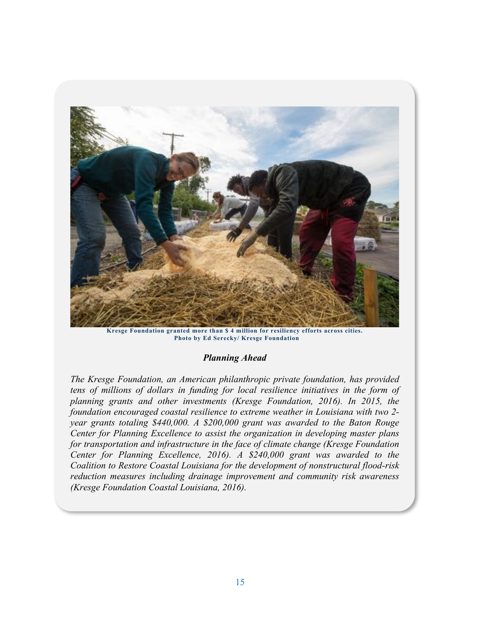

**Kresge Foundation granted more than \$ 4 million for resiliency efforts across cities. Photo by Ed Serecky/ Kresge Foundation**

#### *Planning Ahead*

*The Kresge Foundation, an American philanthropic private foundation, has provided*  tens of millions of dollars in funding for local resilience initiatives in the form of *planning grants and other investments (Kresge Foundation, 2016). In 2015, the foundation encouraged coastal resilience to extreme weather in Louisiana with two 2 year grants totaling \$440,000. A \$200,000 grant was awarded to the Baton Rouge Center for Planning Excellence to assist the organization in developing master plans for transportation and infrastructure in the face of climate change (Kresge Foundation Center for Planning Excellence, 2016). A \$240,000 grant was awarded to the Coalition to Restore Coastal Louisiana for the development of nonstructural flood-risk reduction measures including drainage improvement and community risk awareness (Kresge Foundation Coastal Louisiana, 2016).* 

*.*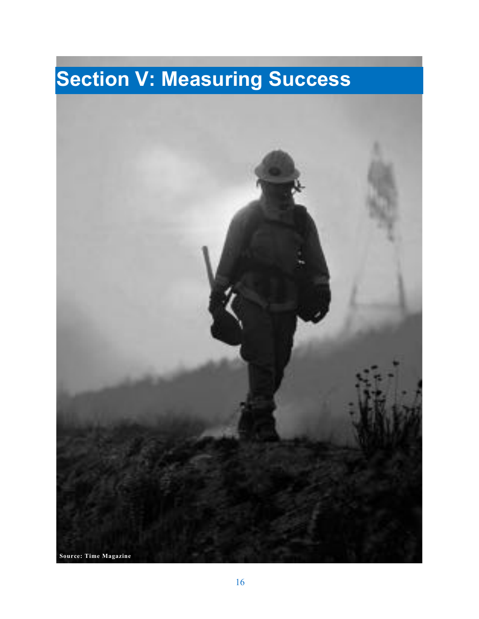# **Section V: Measuring Success**

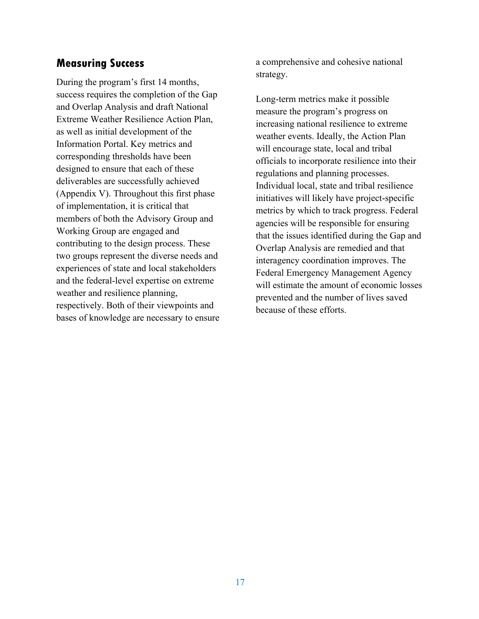# **Measuring Success**

During the program's first 14 months, success requires the completion of the Gap and Overlap Analysis and draft National Extreme Weather Resilience Action Plan, as well as initial development of the Information Portal. Key metrics and corresponding thresholds have been designed to ensure that each of these deliverables are successfully achieved (Appendix V). Throughout this first phase of implementation, it is critical that members of both the Advisory Group and Working Group are engaged and contributing to the design process. These two groups represent the diverse needs and experiences of state and local stakeholders and the federal-level expertise on extreme weather and resilience planning, respectively. Both of their viewpoints and bases of knowledge are necessary to ensure a comprehensive and cohesive national strategy.

Long-term metrics make it possible measure the program's progress on increasing national resilience to extreme weather events. Ideally, the Action Plan will encourage state, local and tribal officials to incorporate resilience into their regulations and planning processes. Individual local, state and tribal resilience initiatives will likely have project-specific metrics by which to track progress. Federal agencies will be responsible for ensuring that the issues identified during the Gap and Overlap Analysis are remedied and that interagency coordination improves. The Federal Emergency Management Agency will estimate the amount of economic losses prevented and the number of lives saved because of these efforts.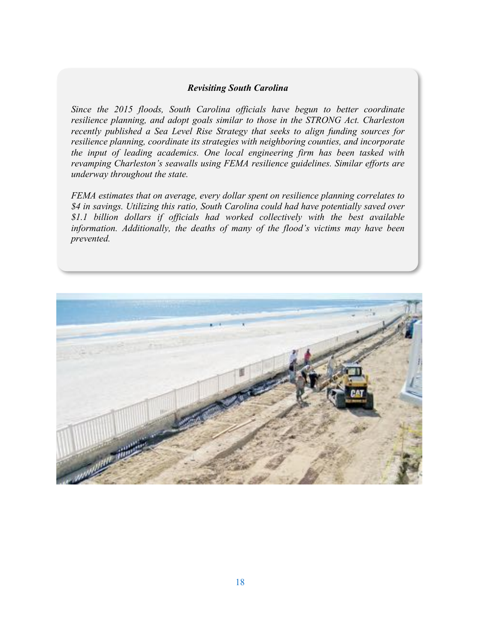#### *Revisiting South Carolina*

*Since the 2015 floods, South Carolina officials have begun to better coordinate resilience planning, and adopt goals similar to those in the STRONG Act. Charleston recently published a Sea Level Rise Strategy that seeks to align funding sources for resilience planning, coordinate its strategies with neighboring counties, and incorporate the input of leading academics. One local engineering firm has been tasked with revamping Charleston's seawalls using FEMA resilience guidelines. Similar efforts are underway throughout the state.* 

*FEMA estimates that on average, every dollar spent on resilience planning correlates to \$4 in savings. Utilizing this ratio, South Carolina could had have potentially saved over \$1.1 billion dollars if officials had worked collectively with the best available information. Additionally, the deaths of many of the flood's victims may have been prevented.*

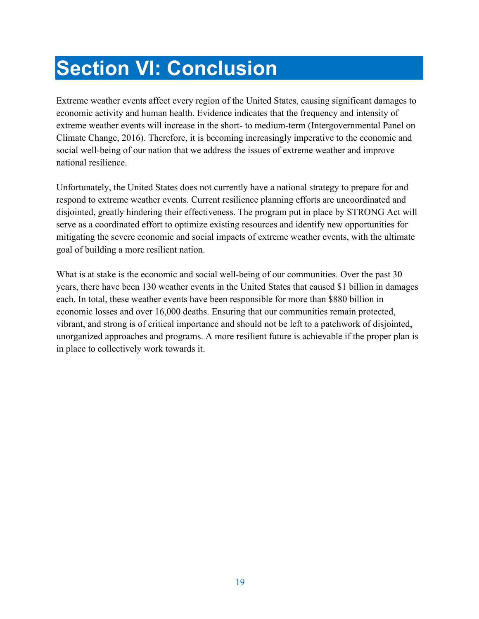# **Section VI: Conclusion**

Extreme weather events affect every region of the United States, causing significant damages to economic activity and human health. Evidence indicates that the frequency and intensity of extreme weather events will increase in the short- to medium-term (Intergovernmental Panel on Climate Change, 2016). Therefore, it is becoming increasingly imperative to the economic and social well-being of our nation that we address the issues of extreme weather and improve national resilience.

Unfortunately, the United States does not currently have a national strategy to prepare for and respond to extreme weather events. Current resilience planning efforts are uncoordinated and disjointed, greatly hindering their effectiveness. The program put in place by STRONG Act will serve as a coordinated effort to optimize existing resources and identify new opportunities for mitigating the severe economic and social impacts of extreme weather events, with the ultimate goal of building a more resilient nation.

What is at stake is the economic and social well-being of our communities. Over the past 30 years, there have been 130 weather events in the United States that caused \$1 billion in damages each. In total, these weather events have been responsible for more than \$880 billion in economic losses and over 16,000 deaths. Ensuring that our communities remain protected, vibrant, and strong is of critical importance and should not be left to a patchwork of disjointed, unorganized approaches and programs. A more resilient future is achievable if the proper plan is in place to collectively work towards it.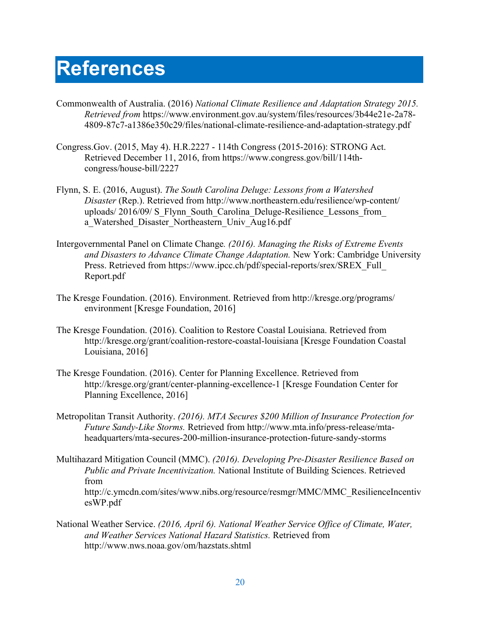# **References**

- Commonwealth of Australia. (2016) *National Climate Resilience and Adaptation Strategy 2015. Retrieved from* https://www.environment.gov.au/system/files/resources/3b44e21e-2a78- 4809-87c7-a1386e350c29/files/national-climate-resilience-and-adaptation-strategy.pdf
- Congress.Gov. (2015, May 4). H.R.2227 114th Congress (2015-2016): STRONG Act. Retrieved December 11, 2016, from https://www.congress.gov/bill/114thcongress/house-bill/2227
- Flynn, S. E. (2016, August). *The South Carolina Deluge: Lessons from a Watershed Disaster* (Rep.). Retrieved from http://www.northeastern.edu/resilience/wp-content/ uploads/ 2016/09/ S\_Flynn\_South\_Carolina\_Deluge-Resilience\_Lessons\_from\_ a Watershed Disaster Northeastern Univ Aug16.pdf
- Intergovernmental Panel on Climate Change*. (2016). Managing the Risks of Extreme Events and Disasters to Advance Climate Change Adaptation.* New York: Cambridge University Press. Retrieved from https://www.ipcc.ch/pdf/special-reports/srex/SREX\_Full\_ Report.pdf
- The Kresge Foundation. (2016). Environment. Retrieved from http://kresge.org/programs/ environment [Kresge Foundation, 2016]
- The Kresge Foundation. (2016). Coalition to Restore Coastal Louisiana. Retrieved from http://kresge.org/grant/coalition-restore-coastal-louisiana [Kresge Foundation Coastal Louisiana, 2016]
- The Kresge Foundation. (2016). Center for Planning Excellence. Retrieved from http://kresge.org/grant/center-planning-excellence-1 [Kresge Foundation Center for Planning Excellence, 2016]
- Metropolitan Transit Authority. *(2016). MTA Secures \$200 Million of Insurance Protection for Future Sandy-Like Storms.* Retrieved from http://www.mta.info/press-release/mtaheadquarters/mta-secures-200-million-insurance-protection-future-sandy-storms
- Multihazard Mitigation Council (MMC). *(2016). Developing Pre-Disaster Resilience Based on Public and Private Incentivization.* National Institute of Building Sciences. Retrieved from http://c.ymcdn.com/sites/www.nibs.org/resource/resmgr/MMC/MMC\_ResilienceIncentiv esWP.pdf
- National Weather Service. *(2016, April 6). National Weather Service Office of Climate, Water, and Weather Services National Hazard Statistics.* Retrieved from http://www.nws.noaa.gov/om/hazstats.shtml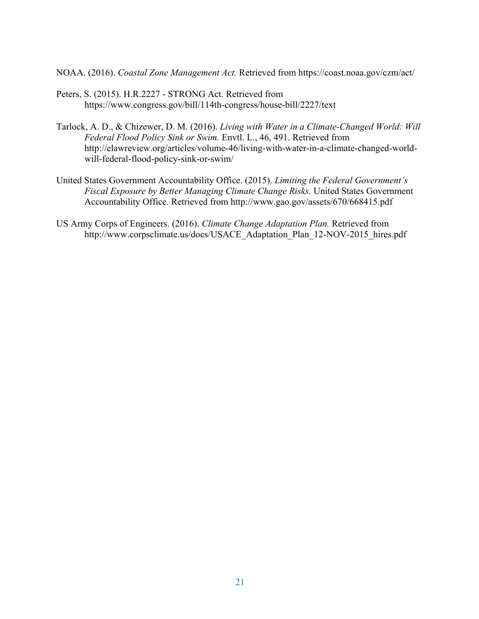NOAA. (2016). *Coastal Zone Management Act.* Retrieved from https://coast.noaa.gov/czm/act/

- Peters, S. (2015). H.R.2227 STRONG Act. Retrieved from https://www.congress.gov/bill/114th-congress/house-bill/2227/text
- Tarlock, A. D., & Chizewer, D. M. (2016). *Living with Water in a Climate-Changed World: Will Federal Flood Policy Sink or Swim.* Envtl. L., 46, 491. Retrieved from http://elawreview.org/articles/volume-46/living-with-water-in-a-climate-changed-worldwill-federal-flood-policy-sink-or-swim/
- United States Government Accountability Office. (2015). *Limiting the Federal Government's Fiscal Exposure by Better Managing Climate Change Risks.* United States Government Accountability Office. Retrieved from http://www.gao.gov/assets/670/668415.pdf
- US Army Corps of Engineers. (2016). *Climate Change Adaptation Plan.* Retrieved from http://www.corpsclimate.us/docs/USACE\_Adaptation\_Plan\_12-NOV-2015\_hires.pdf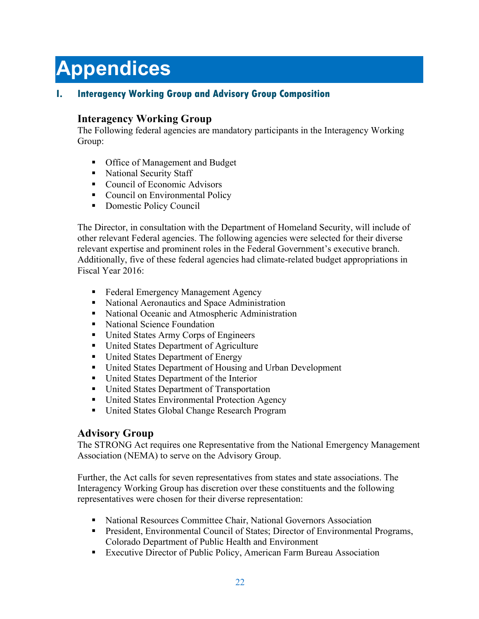# **Appendices**

## **I. Interagency Working Group and Advisory Group Composition**

## **Interagency Working Group**

The Following federal agencies are mandatory participants in the Interagency Working Group:

- Office of Management and Budget
- National Security Staff
- Council of Economic Advisors
- Council on Environmental Policy
- Domestic Policy Council

The Director, in consultation with the Department of Homeland Security, will include of other relevant Federal agencies. The following agencies were selected for their diverse relevant expertise and prominent roles in the Federal Government's executive branch. Additionally, five of these federal agencies had climate-related budget appropriations in Fiscal Year 2016:

- § Federal Emergency Management Agency
- National Aeronautics and Space Administration
- National Oceanic and Atmospheric Administration
- § National Science Foundation
- United States Army Corps of Engineers
- United States Department of Agriculture
- United States Department of Energy
- United States Department of Housing and Urban Development
- United States Department of the Interior
- United States Department of Transportation
- United States Environmental Protection Agency
- United States Global Change Research Program

## **Advisory Group**

The STRONG Act requires one Representative from the National Emergency Management Association (NEMA) to serve on the Advisory Group.

Further, the Act calls for seven representatives from states and state associations. The Interagency Working Group has discretion over these constituents and the following representatives were chosen for their diverse representation:

- National Resources Committee Chair, National Governors Association
- President, Environmental Council of States; Director of Environmental Programs, Colorado Department of Public Health and Environment
- Executive Director of Public Policy, American Farm Bureau Association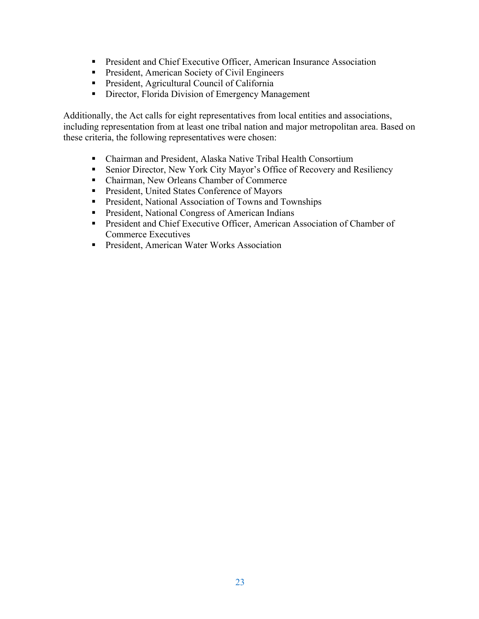- President and Chief Executive Officer, American Insurance Association
- President, American Society of Civil Engineers
- President, Agricultural Council of California
- Director, Florida Division of Emergency Management

Additionally, the Act calls for eight representatives from local entities and associations, including representation from at least one tribal nation and major metropolitan area. Based on these criteria, the following representatives were chosen:

- Chairman and President, Alaska Native Tribal Health Consortium
- Senior Director, New York City Mayor's Office of Recovery and Resiliency
- Chairman, New Orleans Chamber of Commerce
- President, United States Conference of Mayors
- President, National Association of Towns and Townships
- President, National Congress of American Indians
- President and Chief Executive Officer, American Association of Chamber of Commerce Executives
- President, American Water Works Association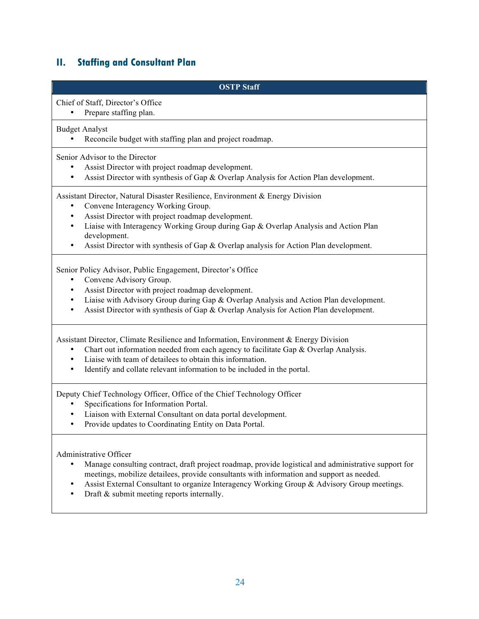# **II. Staffing and Consultant Plan**

| <b>OSTP Staff</b>                                                                                                                                                                                                                                                                                                                                                                                                     |
|-----------------------------------------------------------------------------------------------------------------------------------------------------------------------------------------------------------------------------------------------------------------------------------------------------------------------------------------------------------------------------------------------------------------------|
| Chief of Staff, Director's Office<br>Prepare staffing plan.                                                                                                                                                                                                                                                                                                                                                           |
| <b>Budget Analyst</b><br>Reconcile budget with staffing plan and project roadmap.                                                                                                                                                                                                                                                                                                                                     |
| Senior Advisor to the Director<br>Assist Director with project roadmap development.<br>$\bullet$<br>Assist Director with synthesis of Gap & Overlap Analysis for Action Plan development.<br>$\bullet$                                                                                                                                                                                                                |
| Assistant Director, Natural Disaster Resilience, Environment & Energy Division<br>Convene Interagency Working Group.<br>٠<br>Assist Director with project roadmap development.<br>$\bullet$<br>Liaise with Interagency Working Group during Gap & Overlap Analysis and Action Plan<br>$\bullet$<br>development.<br>Assist Director with synthesis of Gap & Overlap analysis for Action Plan development.<br>$\bullet$ |
| Senior Policy Advisor, Public Engagement, Director's Office<br>Convene Advisory Group.<br>٠<br>Assist Director with project roadmap development.<br>$\bullet$<br>Liaise with Advisory Group during Gap & Overlap Analysis and Action Plan development.<br>$\bullet$<br>Assist Director with synthesis of Gap & Overlap Analysis for Action Plan development.<br>$\bullet$                                             |
| Assistant Director, Climate Resilience and Information, Environment & Energy Division<br>Chart out information needed from each agency to facilitate Gap & Overlap Analysis.<br>$\bullet$<br>Liaise with team of detailees to obtain this information.<br>$\bullet$<br>Identify and collate relevant information to be included in the portal.<br>$\bullet$                                                           |
| Deputy Chief Technology Officer, Office of the Chief Technology Officer<br>Specifications for Information Portal.<br>Liaison with External Consultant on data portal development.<br>Provide updates to Coordinating Entity on Data Portal.                                                                                                                                                                           |
| Administrative Officer<br>Manage consulting contract, draft project roadmap, provide logistical and administrative support for<br>meetings, mobilize detailees, provide consultants with information and support as needed.<br>Assist External Consultant to organize Interagency Working Group & Advisory Group meetings.<br>Draft & submit meeting reports internally.                                              |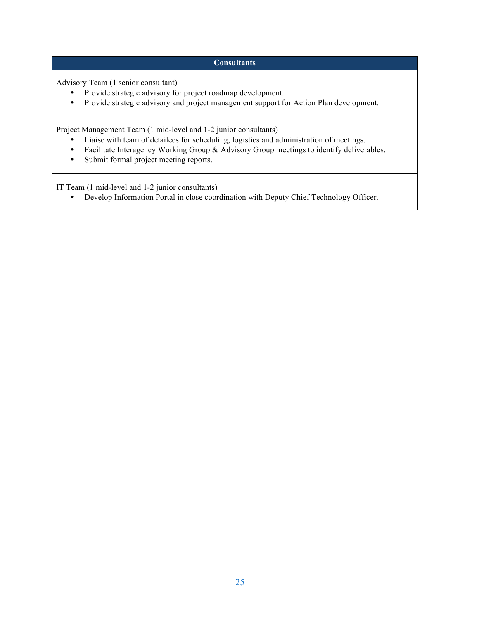#### **Consultants**

Advisory Team (1 senior consultant)

- Provide strategic advisory for project roadmap development.<br>• Provide strategic advisory and project management support for
- Provide strategic advisory and project management support for Action Plan development.

Project Management Team (1 mid-level and 1-2 junior consultants)

- Liaise with team of detailees for scheduling, logistics and administration of meetings.
- Facilitate Interagency Working Group & Advisory Group meetings to identify deliverables.<br>• Submit formal project meeting reports.
- Submit formal project meeting reports.

IT Team (1 mid-level and 1-2 junior consultants)

• Develop Information Portal in close coordination with Deputy Chief Technology Officer.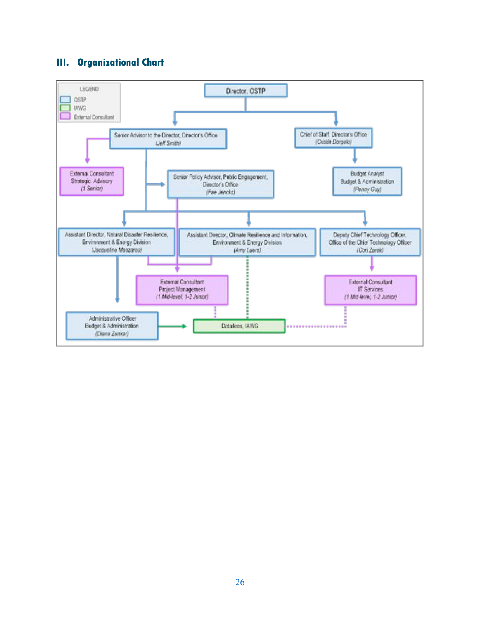## **III. Organizational Chart**

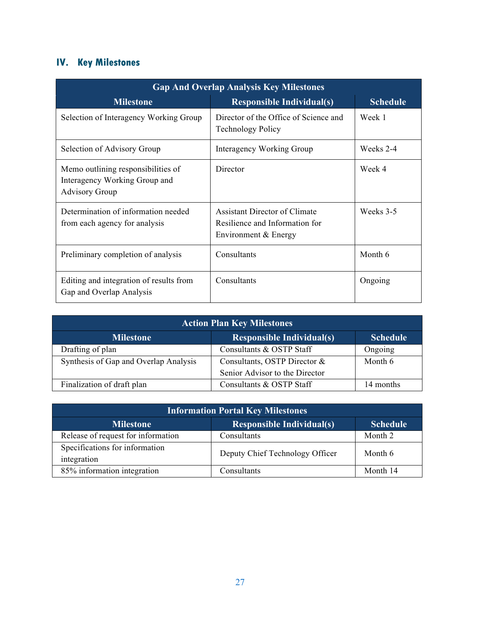# **IV. Key Milestones**

| <b>Gap And Overlap Analysis Key Milestones</b>                                               |                                                                                         |                 |  |  |
|----------------------------------------------------------------------------------------------|-----------------------------------------------------------------------------------------|-----------------|--|--|
| <b>Milestone</b>                                                                             | <b>Responsible Individual(s)</b>                                                        | <b>Schedule</b> |  |  |
| Selection of Interagency Working Group                                                       | Director of the Office of Science and<br><b>Technology Policy</b>                       | Week 1          |  |  |
| Selection of Advisory Group                                                                  | Interagency Working Group                                                               | Weeks 2-4       |  |  |
| Memo outlining responsibilities of<br>Interagency Working Group and<br><b>Advisory Group</b> | Director                                                                                | Week 4          |  |  |
| Determination of information needed<br>from each agency for analysis                         | Assistant Director of Climate<br>Resilience and Information for<br>Environment & Energy | Weeks 3-5       |  |  |
| Preliminary completion of analysis                                                           | Consultants                                                                             | Month 6         |  |  |
| Editing and integration of results from<br>Gap and Overlap Analysis                          | Consultants                                                                             | Ongoing         |  |  |

| <b>Action Plan Key Milestones</b>                                       |                                |           |  |  |
|-------------------------------------------------------------------------|--------------------------------|-----------|--|--|
| <b>Responsible Individual(s)</b><br><b>Milestone</b><br><b>Schedule</b> |                                |           |  |  |
| Drafting of plan                                                        | Consultants & OSTP Staff       | Ongoing   |  |  |
| Synthesis of Gap and Overlap Analysis                                   | Consultants, OSTP Director &   | Month 6   |  |  |
|                                                                         | Senior Advisor to the Director |           |  |  |
| Finalization of draft plan                                              | Consultants & OSTP Staff       | 14 months |  |  |

| <b>Information Portal Key Milestones</b>                                |                                 |          |  |  |
|-------------------------------------------------------------------------|---------------------------------|----------|--|--|
| <b>Responsible Individual(s)</b><br><b>Schedule</b><br><b>Milestone</b> |                                 |          |  |  |
| Release of request for information                                      | Consultants                     | Month 2  |  |  |
| Specifications for information<br>integration                           | Deputy Chief Technology Officer | Month 6  |  |  |
| 85% information integration                                             | Consultants                     | Month 14 |  |  |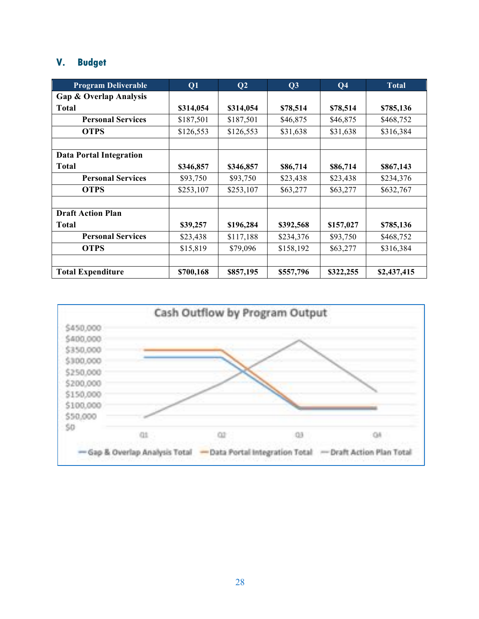## **V. Budget**

| <b>Program Deliverable</b>        | Q1        | Q <sub>2</sub> | Q3        | Q <sub>4</sub> | <b>Total</b> |
|-----------------------------------|-----------|----------------|-----------|----------------|--------------|
| <b>Gap &amp; Overlap Analysis</b> |           |                |           |                |              |
| <b>Total</b>                      | \$314,054 | \$314,054      | \$78,514  | \$78,514       | \$785,136    |
| <b>Personal Services</b>          | \$187,501 | \$187,501      | \$46,875  | \$46,875       | \$468,752    |
| <b>OTPS</b>                       | \$126,553 | \$126,553      | \$31,638  | \$31,638       | \$316,384    |
|                                   |           |                |           |                |              |
| <b>Data Portal Integration</b>    |           |                |           |                |              |
| <b>Total</b>                      | \$346,857 | \$346,857      | \$86,714  | \$86,714       | \$867,143    |
| <b>Personal Services</b>          | \$93,750  | \$93,750       | \$23,438  | \$23,438       | \$234,376    |
| <b>OTPS</b>                       | \$253,107 | \$253,107      | \$63,277  | \$63,277       | \$632,767    |
|                                   |           |                |           |                |              |
| <b>Draft Action Plan</b>          |           |                |           |                |              |
| <b>Total</b>                      | \$39,257  | \$196,284      | \$392,568 | \$157,027      | \$785,136    |
| <b>Personal Services</b>          | \$23,438  | \$117,188      | \$234,376 | \$93,750       | \$468,752    |
| <b>OTPS</b>                       | \$15,819  | \$79,096       | \$158,192 | \$63,277       | \$316,384    |
|                                   |           |                |           |                |              |
| <b>Total Expenditure</b>          | \$700,168 | \$857,195      | \$557,796 | \$322,255      | \$2,437,415  |

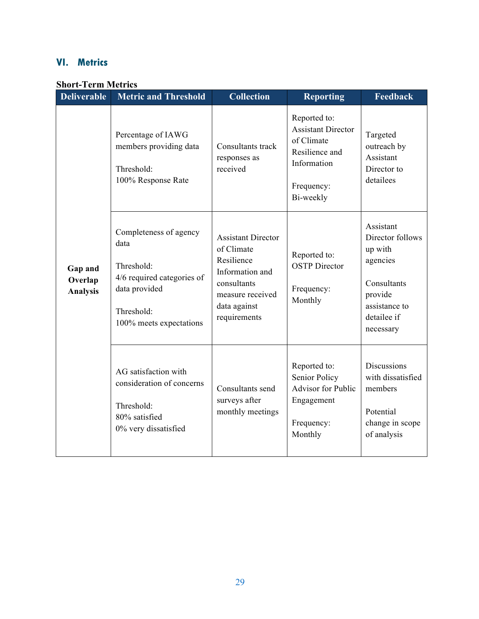## **VI. Metrics**

### **Short-Term Metrics**

| <b>Deliverable</b>                    | <b>Metric and Threshold</b>                                                                                                          | <b>Collection</b>                                                                                                                           | <b>Reporting</b>                                                                                                    | <b>Feedback</b>                                                                                                             |
|---------------------------------------|--------------------------------------------------------------------------------------------------------------------------------------|---------------------------------------------------------------------------------------------------------------------------------------------|---------------------------------------------------------------------------------------------------------------------|-----------------------------------------------------------------------------------------------------------------------------|
|                                       | Percentage of IAWG<br>members providing data<br>Threshold:<br>100% Response Rate                                                     | Consultants track<br>responses as<br>received                                                                                               | Reported to:<br><b>Assistant Director</b><br>of Climate<br>Resilience and<br>Information<br>Frequency:<br>Bi-weekly | Targeted<br>outreach by<br>Assistant<br>Director to<br>detailees                                                            |
| Gap and<br>Overlap<br><b>Analysis</b> | Completeness of agency<br>data<br>Threshold:<br>4/6 required categories of<br>data provided<br>Threshold:<br>100% meets expectations | <b>Assistant Director</b><br>of Climate<br>Resilience<br>Information and<br>consultants<br>measure received<br>data against<br>requirements | Reported to:<br><b>OSTP</b> Director<br>Frequency:<br>Monthly                                                       | Assistant<br>Director follows<br>up with<br>agencies<br>Consultants<br>provide<br>assistance to<br>detailee if<br>necessary |
|                                       | AG satisfaction with<br>consideration of concerns<br>Threshold:<br>80% satisfied<br>0% very dissatisfied                             | Consultants send<br>surveys after<br>monthly meetings                                                                                       | Reported to:<br>Senior Policy<br><b>Advisor for Public</b><br>Engagement<br>Frequency:<br>Monthly                   | <b>Discussions</b><br>with dissatisfied<br>members<br>Potential<br>change in scope<br>of analysis                           |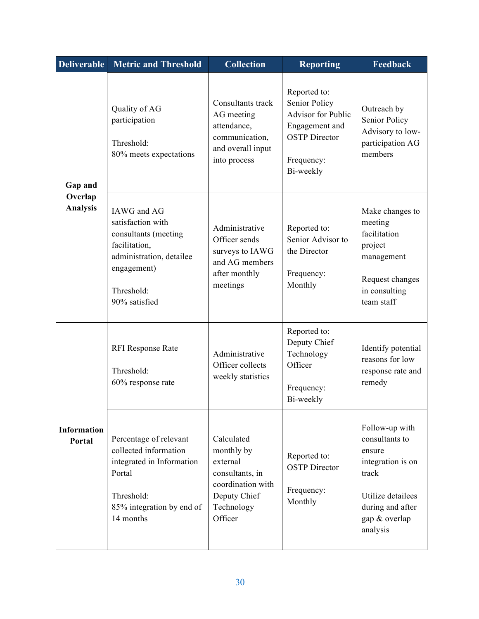| <b>Deliverable</b>           | <b>Metric and Threshold</b>                                                                                                                         | <b>Collection</b>                                                                                                     | <b>Reporting</b>                                                                                                                       | Feedback                                                                                                                                       |
|------------------------------|-----------------------------------------------------------------------------------------------------------------------------------------------------|-----------------------------------------------------------------------------------------------------------------------|----------------------------------------------------------------------------------------------------------------------------------------|------------------------------------------------------------------------------------------------------------------------------------------------|
| Gap and                      | Quality of AG<br>participation<br>Threshold:<br>80% meets expectations                                                                              | Consultants track<br>AG meeting<br>attendance,<br>communication,<br>and overall input<br>into process                 | Reported to:<br><b>Senior Policy</b><br><b>Advisor for Public</b><br>Engagement and<br><b>OSTP</b> Director<br>Frequency:<br>Bi-weekly | Outreach by<br>Senior Policy<br>Advisory to low-<br>participation AG<br>members                                                                |
| Overlap<br><b>Analysis</b>   | IAWG and AG<br>satisfaction with<br>consultants (meeting<br>facilitation,<br>administration, detailee<br>engagement)<br>Threshold:<br>90% satisfied | Administrative<br>Officer sends<br>surveys to IAWG<br>and AG members<br>after monthly<br>meetings                     | Reported to:<br>Senior Advisor to<br>the Director<br>Frequency:<br>Monthly                                                             | Make changes to<br>meeting<br>facilitation<br>project<br>management<br>Request changes<br>in consulting<br>team staff                          |
|                              | <b>RFI Response Rate</b><br>Threshold:<br>60% response rate                                                                                         | Administrative<br>Officer collects<br>weekly statistics                                                               | Reported to:<br>Deputy Chief<br>Technology<br>Officer<br>Frequency:<br>Bi-weekly                                                       | Identify potential<br>reasons for low<br>response rate and<br>remedy                                                                           |
| <b>Information</b><br>Portal | Percentage of relevant<br>collected information<br>integrated in Information<br>Portal<br>Threshold:<br>85% integration by end of<br>14 months      | Calculated<br>monthly by<br>external<br>consultants, in<br>coordination with<br>Deputy Chief<br>Technology<br>Officer | Reported to:<br><b>OSTP</b> Director<br>Frequency:<br>Monthly                                                                          | Follow-up with<br>consultants to<br>ensure<br>integration is on<br>track<br>Utilize detailees<br>during and after<br>gap & overlap<br>analysis |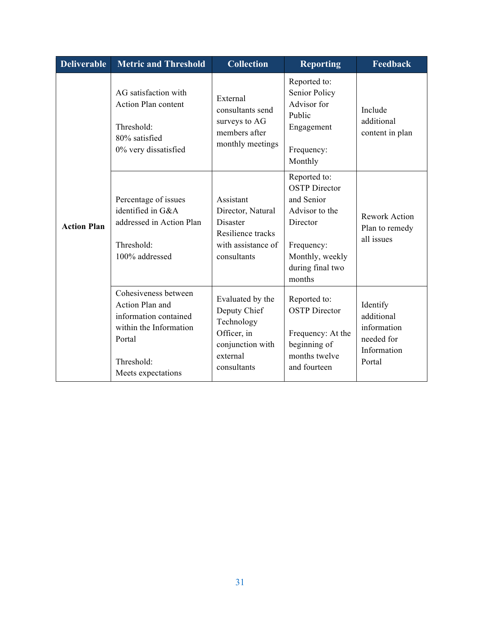| <b>Deliverable</b> | <b>Metric and Threshold</b>                                                                                                              | <b>Collection</b>                                                                                            | <b>Reporting</b>                                                                                                                                | <b>Feedback</b>                                                              |
|--------------------|------------------------------------------------------------------------------------------------------------------------------------------|--------------------------------------------------------------------------------------------------------------|-------------------------------------------------------------------------------------------------------------------------------------------------|------------------------------------------------------------------------------|
|                    | AG satisfaction with<br>Action Plan content<br>Threshold:<br>80% satisfied<br>0% very dissatisfied                                       | External<br>consultants send<br>surveys to AG<br>members after<br>monthly meetings                           | Reported to:<br>Senior Policy<br>Advisor for<br>Public<br>Engagement<br>Frequency:<br>Monthly                                                   | Include<br>additional<br>content in plan                                     |
| <b>Action Plan</b> | Percentage of issues<br>identified in G&A<br>addressed in Action Plan<br>Threshold:<br>100% addressed                                    | Assistant<br>Director, Natural<br><b>Disaster</b><br>Resilience tracks<br>with assistance of<br>consultants  | Reported to:<br><b>OSTP</b> Director<br>and Senior<br>Advisor to the<br>Director<br>Frequency:<br>Monthly, weekly<br>during final two<br>months | <b>Rework Action</b><br>Plan to remedy<br>all issues                         |
|                    | Cohesiveness between<br>Action Plan and<br>information contained<br>within the Information<br>Portal<br>Threshold:<br>Meets expectations | Evaluated by the<br>Deputy Chief<br>Technology<br>Officer, in<br>conjunction with<br>external<br>consultants | Reported to:<br><b>OSTP</b> Director<br>Frequency: At the<br>beginning of<br>months twelve<br>and fourteen                                      | Identify<br>additional<br>information<br>needed for<br>Information<br>Portal |